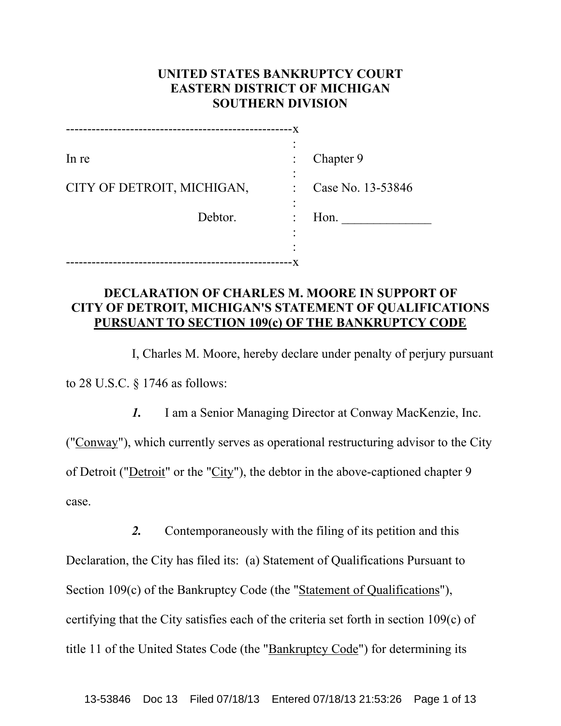# **UNITED STATES BANKRUPTCY COURT EASTERN DISTRICT OF MICHIGAN SOUTHERN DIVISION**

|                            | -X |                   |
|----------------------------|----|-------------------|
|                            |    |                   |
| In re                      |    | Chapter 9         |
|                            |    |                   |
| CITY OF DETROIT, MICHIGAN, |    | Case No. 13-53846 |
|                            |    |                   |
| Debtor.                    |    | Hon.              |
|                            |    |                   |
|                            |    |                   |
|                            | ۰X |                   |

# **DECLARATION OF CHARLES M. MOORE IN SUPPORT OF CITY OF DETROIT, MICHIGAN'S STATEMENT OF QUALIFICATIONS PURSUANT TO SECTION 109(c) OF THE BANKRUPTCY CODE**

I, Charles M. Moore, hereby declare under penalty of perjury pursuant to 28 U.S.C. § 1746 as follows:

*1.* I am a Senior Managing Director at Conway MacKenzie, Inc. ("Conway"), which currently serves as operational restructuring advisor to the City of Detroit ("Detroit" or the "City"), the debtor in the above-captioned chapter 9 case.

*2.* Contemporaneously with the filing of its petition and this Declaration, the City has filed its: (a) Statement of Qualifications Pursuant to Section 109(c) of the Bankruptcy Code (the "Statement of Qualifications"), certifying that the City satisfies each of the criteria set forth in section 109(c) of title 11 of the United States Code (the "Bankruptcy Code") for determining its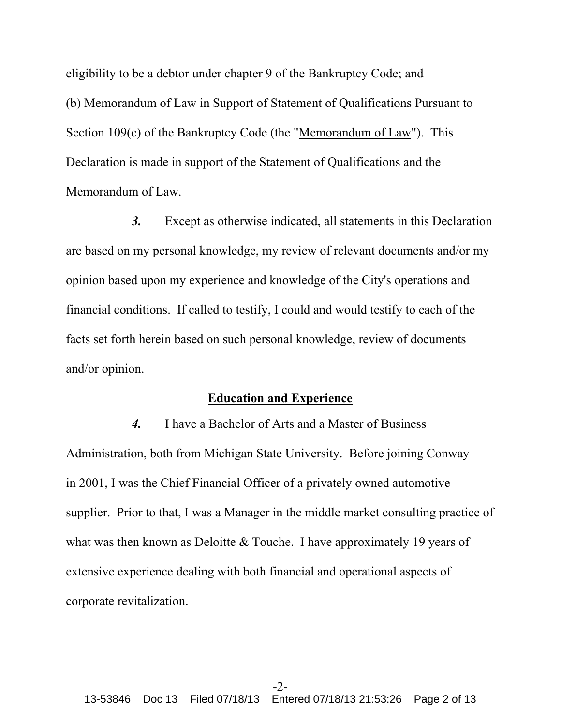eligibility to be a debtor under chapter 9 of the Bankruptcy Code; and (b) Memorandum of Law in Support of Statement of Qualifications Pursuant to Section 109(c) of the Bankruptcy Code (the "Memorandum of Law"). This Declaration is made in support of the Statement of Qualifications and the Memorandum of Law.

*3.* Except as otherwise indicated, all statements in this Declaration are based on my personal knowledge, my review of relevant documents and/or my opinion based upon my experience and knowledge of the City's operations and financial conditions. If called to testify, I could and would testify to each of the facts set forth herein based on such personal knowledge, review of documents and/or opinion.

#### **Education and Experience**

*4.* I have a Bachelor of Arts and a Master of Business Administration, both from Michigan State University. Before joining Conway in 2001, I was the Chief Financial Officer of a privately owned automotive supplier. Prior to that, I was a Manager in the middle market consulting practice of what was then known as Deloitte & Touche. I have approximately 19 years of extensive experience dealing with both financial and operational aspects of corporate revitalization.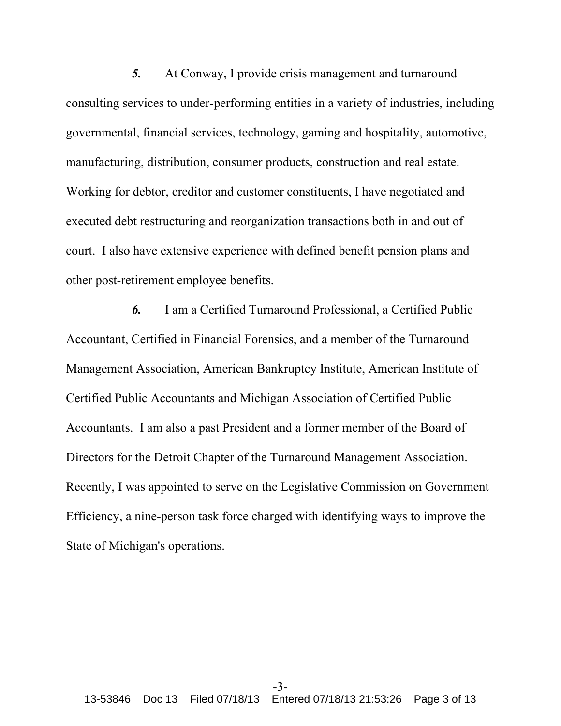*5.* At Conway, I provide crisis management and turnaround consulting services to under-performing entities in a variety of industries, including governmental, financial services, technology, gaming and hospitality, automotive, manufacturing, distribution, consumer products, construction and real estate. Working for debtor, creditor and customer constituents, I have negotiated and executed debt restructuring and reorganization transactions both in and out of court. I also have extensive experience with defined benefit pension plans and other post-retirement employee benefits.

*6.* I am a Certified Turnaround Professional, a Certified Public Accountant, Certified in Financial Forensics, and a member of the Turnaround Management Association, American Bankruptcy Institute, American Institute of Certified Public Accountants and Michigan Association of Certified Public Accountants. I am also a past President and a former member of the Board of Directors for the Detroit Chapter of the Turnaround Management Association. Recently, I was appointed to serve on the Legislative Commission on Government Efficiency, a nine-person task force charged with identifying ways to improve the State of Michigan's operations.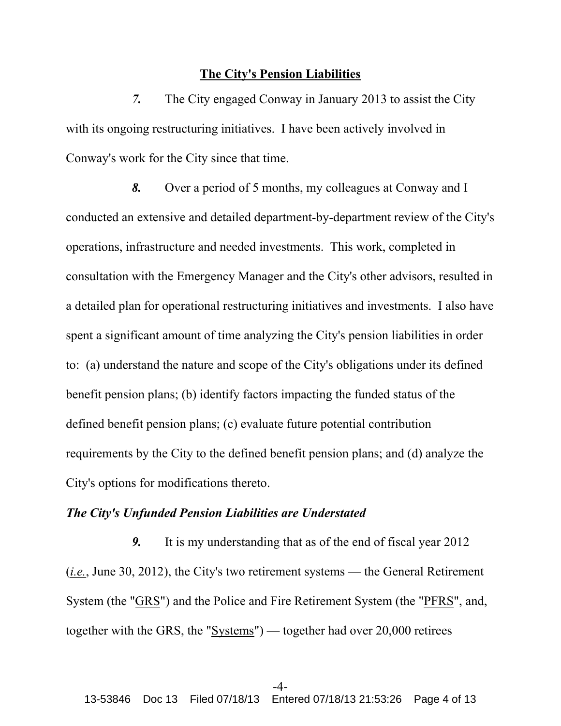#### **The City's Pension Liabilities**

*7.* The City engaged Conway in January 2013 to assist the City with its ongoing restructuring initiatives. I have been actively involved in Conway's work for the City since that time.

*8.* Over a period of 5 months, my colleagues at Conway and I conducted an extensive and detailed department-by-department review of the City's operations, infrastructure and needed investments. This work, completed in consultation with the Emergency Manager and the City's other advisors, resulted in a detailed plan for operational restructuring initiatives and investments. I also have spent a significant amount of time analyzing the City's pension liabilities in order to: (a) understand the nature and scope of the City's obligations under its defined benefit pension plans; (b) identify factors impacting the funded status of the defined benefit pension plans; (c) evaluate future potential contribution requirements by the City to the defined benefit pension plans; and (d) analyze the City's options for modifications thereto.

## *The City's Unfunded Pension Liabilities are Understated*

*9.* It is my understanding that as of the end of fiscal year 2012 (*i.e.*, June 30, 2012), the City's two retirement systems — the General Retirement System (the "GRS") and the Police and Fire Retirement System (the "PFRS", and, together with the GRS, the "Systems") — together had over 20,000 retirees

#### $-4-$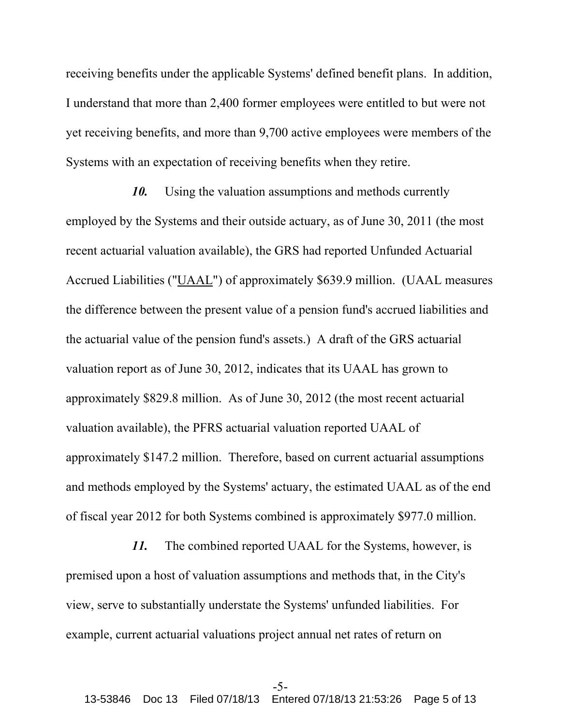receiving benefits under the applicable Systems' defined benefit plans. In addition, I understand that more than 2,400 former employees were entitled to but were not yet receiving benefits, and more than 9,700 active employees were members of the Systems with an expectation of receiving benefits when they retire.

*10.* Using the valuation assumptions and methods currently employed by the Systems and their outside actuary, as of June 30, 2011 (the most recent actuarial valuation available), the GRS had reported Unfunded Actuarial Accrued Liabilities ("UAAL") of approximately \$639.9 million. (UAAL measures the difference between the present value of a pension fund's accrued liabilities and the actuarial value of the pension fund's assets.) A draft of the GRS actuarial valuation report as of June 30, 2012, indicates that its UAAL has grown to approximately \$829.8 million. As of June 30, 2012 (the most recent actuarial valuation available), the PFRS actuarial valuation reported UAAL of approximately \$147.2 million. Therefore, based on current actuarial assumptions and methods employed by the Systems' actuary, the estimated UAAL as of the end of fiscal year 2012 for both Systems combined is approximately \$977.0 million.

*11.* The combined reported UAAL for the Systems, however, is premised upon a host of valuation assumptions and methods that, in the City's view, serve to substantially understate the Systems' unfunded liabilities. For example, current actuarial valuations project annual net rates of return on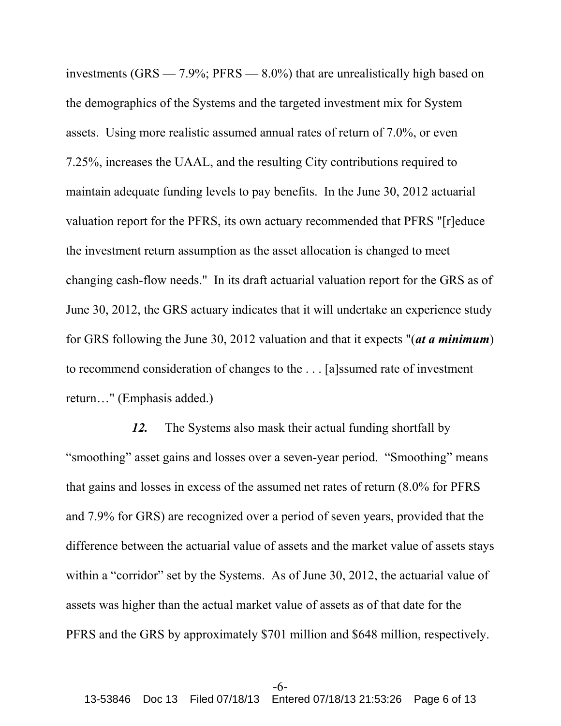investments (GRS — 7.9%; PFRS — 8.0%) that are unrealistically high based on the demographics of the Systems and the targeted investment mix for System assets. Using more realistic assumed annual rates of return of 7.0%, or even 7.25%, increases the UAAL, and the resulting City contributions required to maintain adequate funding levels to pay benefits. In the June 30, 2012 actuarial valuation report for the PFRS, its own actuary recommended that PFRS "[r]educe the investment return assumption as the asset allocation is changed to meet changing cash-flow needs." In its draft actuarial valuation report for the GRS as of June 30, 2012, the GRS actuary indicates that it will undertake an experience study for GRS following the June 30, 2012 valuation and that it expects "(*at a minimum*) to recommend consideration of changes to the . . . [a]ssumed rate of investment return…" (Emphasis added.)

*12.* The Systems also mask their actual funding shortfall by "smoothing" asset gains and losses over a seven-year period. "Smoothing" means that gains and losses in excess of the assumed net rates of return (8.0% for PFRS and 7.9% for GRS) are recognized over a period of seven years, provided that the difference between the actuarial value of assets and the market value of assets stays within a "corridor" set by the Systems. As of June 30, 2012, the actuarial value of assets was higher than the actual market value of assets as of that date for the PFRS and the GRS by approximately \$701 million and \$648 million, respectively.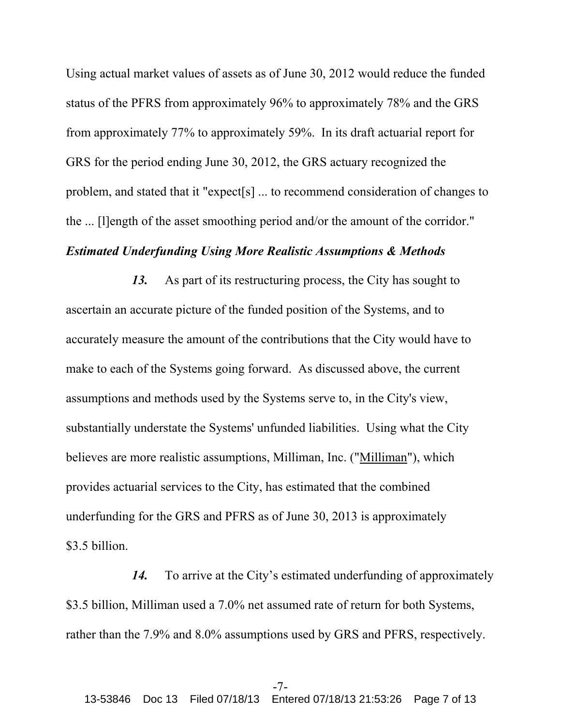Using actual market values of assets as of June 30, 2012 would reduce the funded status of the PFRS from approximately 96% to approximately 78% and the GRS from approximately 77% to approximately 59%. In its draft actuarial report for GRS for the period ending June 30, 2012, the GRS actuary recognized the problem, and stated that it "expect[s] ... to recommend consideration of changes to the ... [l]ength of the asset smoothing period and/or the amount of the corridor."

# *Estimated Underfunding Using More Realistic Assumptions & Methods*

*13.* As part of its restructuring process, the City has sought to ascertain an accurate picture of the funded position of the Systems, and to accurately measure the amount of the contributions that the City would have to make to each of the Systems going forward. As discussed above, the current assumptions and methods used by the Systems serve to, in the City's view, substantially understate the Systems' unfunded liabilities. Using what the City believes are more realistic assumptions, Milliman, Inc. ("Milliman"), which provides actuarial services to the City, has estimated that the combined underfunding for the GRS and PFRS as of June 30, 2013 is approximately \$3.5 billion.

*14.* To arrive at the City's estimated underfunding of approximately \$3.5 billion, Milliman used a 7.0% net assumed rate of return for both Systems, rather than the 7.9% and 8.0% assumptions used by GRS and PFRS, respectively.

#### -7-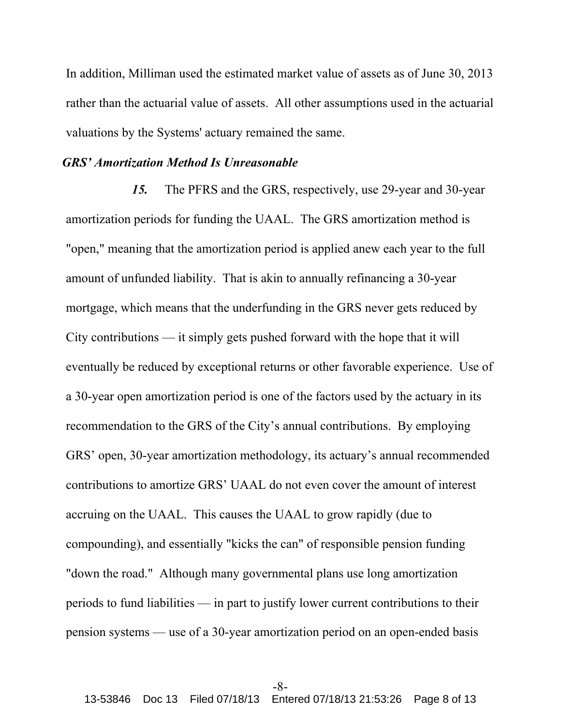In addition, Milliman used the estimated market value of assets as of June 30, 2013 rather than the actuarial value of assets. All other assumptions used in the actuarial valuations by the Systems' actuary remained the same.

## *GRS' Amortization Method Is Unreasonable*

*15.* The PFRS and the GRS, respectively, use 29-year and 30-year amortization periods for funding the UAAL. The GRS amortization method is "open," meaning that the amortization period is applied anew each year to the full amount of unfunded liability. That is akin to annually refinancing a 30-year mortgage, which means that the underfunding in the GRS never gets reduced by City contributions — it simply gets pushed forward with the hope that it will eventually be reduced by exceptional returns or other favorable experience. Use of a 30-year open amortization period is one of the factors used by the actuary in its recommendation to the GRS of the City's annual contributions. By employing GRS' open, 30-year amortization methodology, its actuary's annual recommended contributions to amortize GRS' UAAL do not even cover the amount of interest accruing on the UAAL. This causes the UAAL to grow rapidly (due to compounding), and essentially "kicks the can" of responsible pension funding "down the road." Although many governmental plans use long amortization periods to fund liabilities — in part to justify lower current contributions to their pension systems — use of a 30-year amortization period on an open-ended basis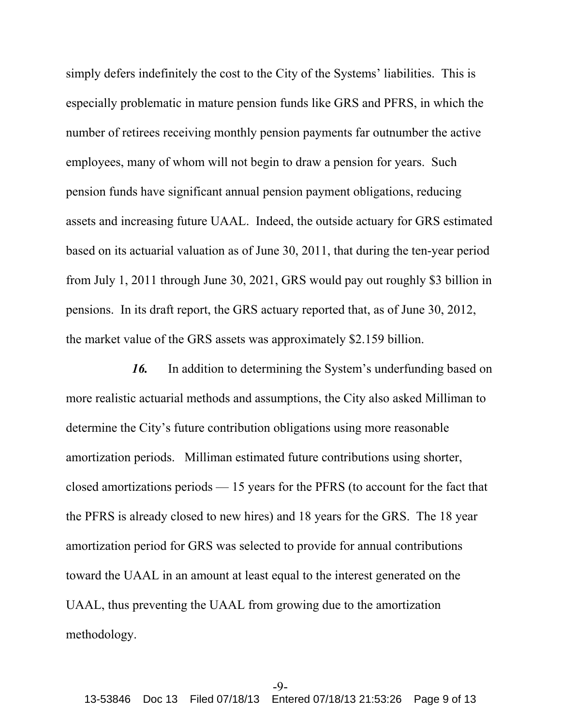simply defers indefinitely the cost to the City of the Systems' liabilities. This is especially problematic in mature pension funds like GRS and PFRS, in which the number of retirees receiving monthly pension payments far outnumber the active employees, many of whom will not begin to draw a pension for years. Such pension funds have significant annual pension payment obligations, reducing assets and increasing future UAAL. Indeed, the outside actuary for GRS estimated based on its actuarial valuation as of June 30, 2011, that during the ten-year period from July 1, 2011 through June 30, 2021, GRS would pay out roughly \$3 billion in pensions. In its draft report, the GRS actuary reported that, as of June 30, 2012, the market value of the GRS assets was approximately \$2.159 billion.

*16.* In addition to determining the System's underfunding based on more realistic actuarial methods and assumptions, the City also asked Milliman to determine the City's future contribution obligations using more reasonable amortization periods. Milliman estimated future contributions using shorter, closed amortizations periods — 15 years for the PFRS (to account for the fact that the PFRS is already closed to new hires) and 18 years for the GRS. The 18 year amortization period for GRS was selected to provide for annual contributions toward the UAAL in an amount at least equal to the interest generated on the UAAL, thus preventing the UAAL from growing due to the amortization methodology.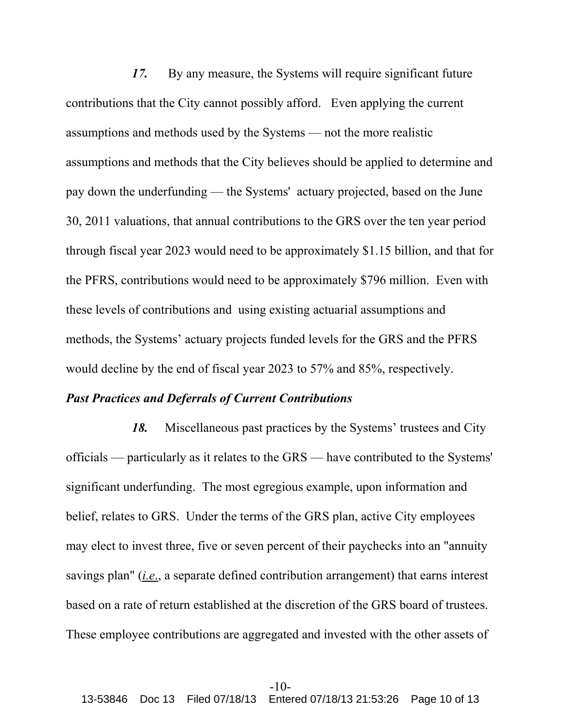*17.* By any measure, the Systems will require significant future contributions that the City cannot possibly afford. Even applying the current assumptions and methods used by the Systems — not the more realistic assumptions and methods that the City believes should be applied to determine and pay down the underfunding — the Systems' actuary projected, based on the June 30, 2011 valuations, that annual contributions to the GRS over the ten year period through fiscal year 2023 would need to be approximately \$1.15 billion, and that for the PFRS, contributions would need to be approximately \$796 million. Even with these levels of contributions and using existing actuarial assumptions and methods, the Systems' actuary projects funded levels for the GRS and the PFRS would decline by the end of fiscal year 2023 to 57% and 85%, respectively.

## *Past Practices and Deferrals of Current Contributions*

*18.* Miscellaneous past practices by the Systems' trustees and City officials — particularly as it relates to the GRS — have contributed to the Systems' significant underfunding. The most egregious example, upon information and belief, relates to GRS. Under the terms of the GRS plan, active City employees may elect to invest three, five or seven percent of their paychecks into an "annuity savings plan" (*i.e*., a separate defined contribution arrangement) that earns interest based on a rate of return established at the discretion of the GRS board of trustees. These employee contributions are aggregated and invested with the other assets of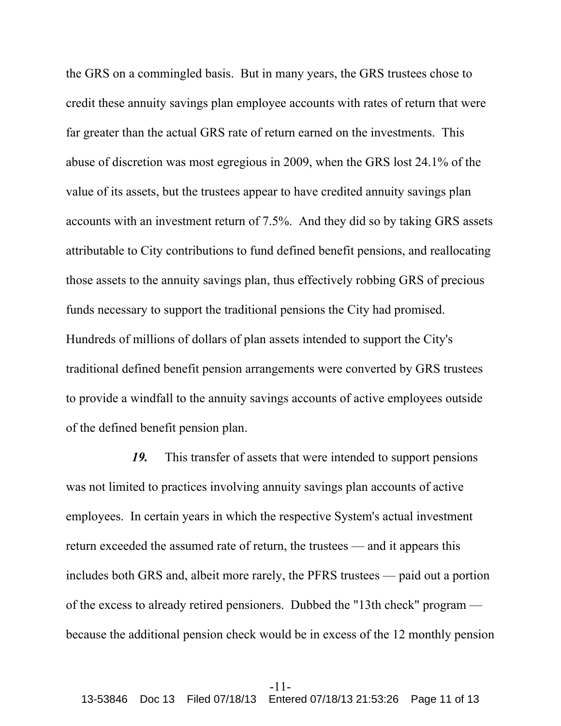the GRS on a commingled basis. But in many years, the GRS trustees chose to credit these annuity savings plan employee accounts with rates of return that were far greater than the actual GRS rate of return earned on the investments. This abuse of discretion was most egregious in 2009, when the GRS lost 24.1% of the value of its assets, but the trustees appear to have credited annuity savings plan accounts with an investment return of 7.5%. And they did so by taking GRS assets attributable to City contributions to fund defined benefit pensions, and reallocating those assets to the annuity savings plan, thus effectively robbing GRS of precious funds necessary to support the traditional pensions the City had promised. Hundreds of millions of dollars of plan assets intended to support the City's traditional defined benefit pension arrangements were converted by GRS trustees to provide a windfall to the annuity savings accounts of active employees outside of the defined benefit pension plan.

*19.* This transfer of assets that were intended to support pensions was not limited to practices involving annuity savings plan accounts of active employees. In certain years in which the respective System's actual investment return exceeded the assumed rate of return, the trustees — and it appears this includes both GRS and, albeit more rarely, the PFRS trustees — paid out a portion of the excess to already retired pensioners. Dubbed the "13th check" program because the additional pension check would be in excess of the 12 monthly pension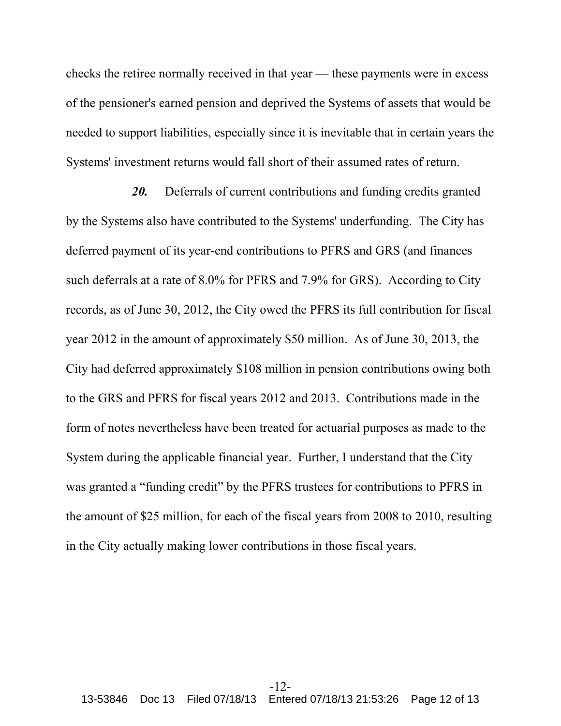checks the retiree normally received in that year — these payments were in excess of the pensioner's earned pension and deprived the Systems of assets that would be needed to support liabilities, especially since it is inevitable that in certain years the Systems' investment returns would fall short of their assumed rates of return.

*20.* Deferrals of current contributions and funding credits granted by the Systems also have contributed to the Systems' underfunding. The City has deferred payment of its year-end contributions to PFRS and GRS (and finances such deferrals at a rate of 8.0% for PFRS and 7.9% for GRS). According to City records, as of June 30, 2012, the City owed the PFRS its full contribution for fiscal year 2012 in the amount of approximately \$50 million. As of June 30, 2013, the City had deferred approximately \$108 million in pension contributions owing both to the GRS and PFRS for fiscal years 2012 and 2013. Contributions made in the form of notes nevertheless have been treated for actuarial purposes as made to the System during the applicable financial year. Further, I understand that the City was granted a "funding credit" by the PFRS trustees for contributions to PFRS in the amount of \$25 million, for each of the fiscal years from 2008 to 2010, resulting in the City actually making lower contributions in those fiscal years.